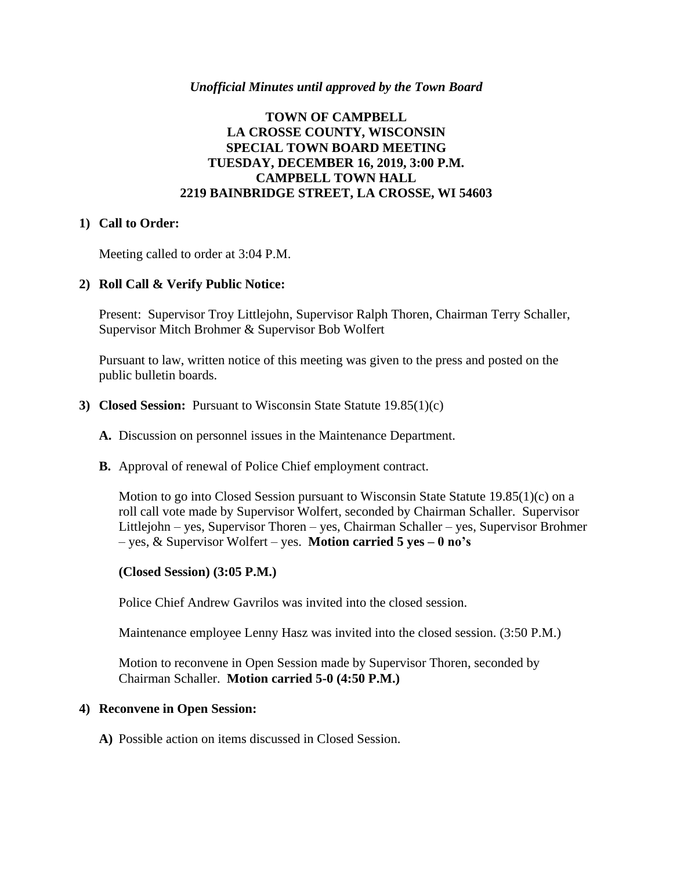#### *Unofficial Minutes until approved by the Town Board*

## **TOWN OF CAMPBELL LA CROSSE COUNTY, WISCONSIN SPECIAL TOWN BOARD MEETING TUESDAY, DECEMBER 16, 2019, 3:00 P.M. CAMPBELL TOWN HALL 2219 BAINBRIDGE STREET, LA CROSSE, WI 54603**

### **1) Call to Order:**

Meeting called to order at 3:04 P.M.

### **2) Roll Call & Verify Public Notice:**

Present: Supervisor Troy Littlejohn, Supervisor Ralph Thoren, Chairman Terry Schaller, Supervisor Mitch Brohmer & Supervisor Bob Wolfert

Pursuant to law, written notice of this meeting was given to the press and posted on the public bulletin boards.

#### **3) Closed Session:** Pursuant to Wisconsin State Statute 19.85(1)(c)

- **A.** Discussion on personnel issues in the Maintenance Department.
- **B.** Approval of renewal of Police Chief employment contract.

Motion to go into Closed Session pursuant to Wisconsin State Statute  $19.85(1)(c)$  on a roll call vote made by Supervisor Wolfert, seconded by Chairman Schaller. Supervisor Littlejohn – yes, Supervisor Thoren – yes, Chairman Schaller – yes, Supervisor Brohmer – yes, & Supervisor Wolfert – yes. **Motion carried 5 yes – 0 no's**

#### **(Closed Session) (3:05 P.M.)**

Police Chief Andrew Gavrilos was invited into the closed session.

Maintenance employee Lenny Hasz was invited into the closed session. (3:50 P.M.)

Motion to reconvene in Open Session made by Supervisor Thoren, seconded by Chairman Schaller. **Motion carried 5-0 (4:50 P.M.)**

#### **4) Reconvene in Open Session:**

**A)** Possible action on items discussed in Closed Session.